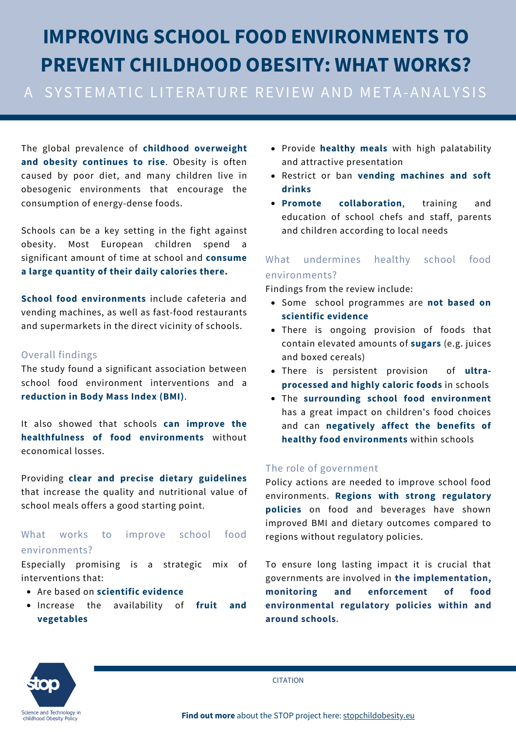# **IMPROVING SCHOOL FOOD ENVIRONMENTS TO PREVENT CHILDHOOD OBESITY: WHAT WORKS?**

### A SYSTEMATIC LITERATURE REVIEW AND META-ANALYSIS

The global prevalence of **childhood overweight and obesity continues to rise**. Obesity is often caused by poor diet, and many children live in obesogenic environments that encourage the consumption of energy-dense foods.

Schools can be a key setting in the fight against obesity. Most European children spend significant amount of time at school and **consume a large quantity of their daily calories there.**

**School food environments** include cafeteria and vending machines, as well as fast-food restaurants and supermarkets in the direct vicinity of schools.

#### Overall findings

The study found a significant association between school food environment interventions and a **reduction in Body Mass Index (BMI)**.

It also showed that schools **can improve the healthfulness of food environments** without economical losses.

Providing **clear and precise dietary guidelines** that increase the quality and nutritional value of school meals offers a good starting point.

#### What works to improve school food environments?

Especially promising is a strategic mix of interventions that:

- Are based on **scientific evidence**
- Increase the availability of **fruit and vegetables**
- Provide **healthy meals** with high palatability and attractive presentation
- Restrict or ban **vending machines and soft drinks**
- **Promote collaboration**, training and education of school chefs and staff, parents and children according to local needs

#### What undermines healthy school food environments?

Findings from the review include:

- Some school programmes are **not based on scientific evidence**
- There is ongoing provision of foods that contain elevated amounts of **sugars** (e.g. juices and boxed cereals)
- There is persistent provision of **ultraprocessed and highly caloric foods** in schools
- The **surrounding school food environment** has a great impact on children's food choices and can **negatively affect the benefits of healthy food environments** within schools

#### The role of government

Policy actions are needed to improve school food environments. **Regions with strong regulatory policies** on food and beverages have shown improved BMI and dietary outcomes compared to regions without regulatory policies.

To ensure long lasting impact it is crucial that governments are involved in **the implementation, monitoring and enforcement of food environmental regulatory policies within and around schools**.



**CITATION**